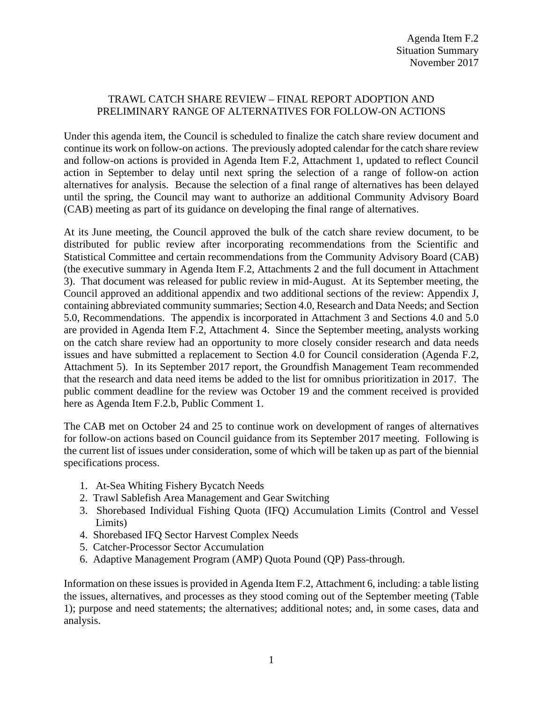## TRAWL CATCH SHARE REVIEW – FINAL REPORT ADOPTION AND PRELIMINARY RANGE OF ALTERNATIVES FOR FOLLOW-ON ACTIONS

Under this agenda item, the Council is scheduled to finalize the catch share review document and continue its work on follow-on actions. The previously adopted calendar for the catch share review and follow-on actions is provided in Agenda Item F.2, Attachment 1, updated to reflect Council action in September to delay until next spring the selection of a range of follow-on action alternatives for analysis. Because the selection of a final range of alternatives has been delayed until the spring, the Council may want to authorize an additional Community Advisory Board (CAB) meeting as part of its guidance on developing the final range of alternatives.

At its June meeting, the Council approved the bulk of the catch share review document, to be distributed for public review after incorporating recommendations from the Scientific and Statistical Committee and certain recommendations from the Community Advisory Board (CAB) (the executive summary in Agenda Item F.2, Attachments 2 and the full document in Attachment 3). That document was released for public review in mid-August. At its September meeting, the Council approved an additional appendix and two additional sections of the review: Appendix J, containing abbreviated community summaries; Section 4.0, Research and Data Needs; and Section 5.0, Recommendations. The appendix is incorporated in Attachment 3 and Sections 4.0 and 5.0 are provided in Agenda Item F.2, Attachment 4. Since the September meeting, analysts working on the catch share review had an opportunity to more closely consider research and data needs issues and have submitted a replacement to Section 4.0 for Council consideration (Agenda F.2, Attachment 5). In its September 2017 report, the Groundfish Management Team recommended that the research and data need items be added to the list for omnibus prioritization in 2017. The public comment deadline for the review was October 19 and the comment received is provided here as Agenda Item F.2.b, Public Comment 1.

The CAB met on October 24 and 25 to continue work on development of ranges of alternatives for follow-on actions based on Council guidance from its September 2017 meeting. Following is the current list of issues under consideration, some of which will be taken up as part of the biennial specifications process.

- 1. At-Sea Whiting Fishery Bycatch Needs
- 2. Trawl Sablefish Area Management and Gear Switching
- 3. Shorebased Individual Fishing Quota (IFQ) Accumulation Limits (Control and Vessel Limits)
- 4. Shorebased IFQ Sector Harvest Complex Needs
- 5. Catcher-Processor Sector Accumulation
- 6. Adaptive Management Program (AMP) Quota Pound (QP) Pass-through.

Information on these issues is provided in Agenda Item F.2, Attachment 6, including: a table listing the issues, alternatives, and processes as they stood coming out of the September meeting (Table 1); purpose and need statements; the alternatives; additional notes; and, in some cases, data and analysis.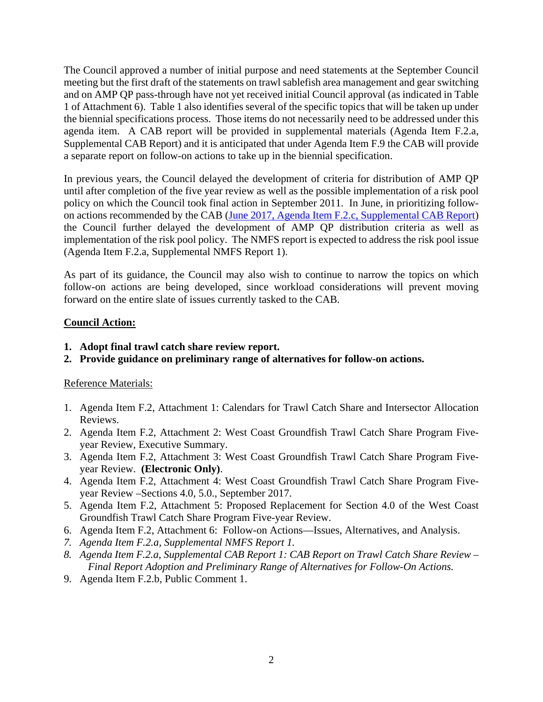The Council approved a number of initial purpose and need statements at the September Council meeting but the first draft of the statements on trawl sablefish area management and gear switching and on AMP QP pass-through have not yet received initial Council approval (as indicated in Table 1 of Attachment 6). Table 1 also identifies several of the specific topics that will be taken up under the biennial specifications process. Those items do not necessarily need to be addressed under this agenda item. A CAB report will be provided in supplemental materials (Agenda Item F.2.a, Supplemental CAB Report) and it is anticipated that under Agenda Item F.9 the CAB will provide a separate report on follow-on actions to take up in the biennial specification.

In previous years, the Council delayed the development of criteria for distribution of AMP QP until after completion of the five year review as well as the possible implementation of a risk pool policy on which the Council took final action in September 2011. In June, in prioritizing followon actions recommended by the CAB (June 2017, [Agenda Item F.2.c, Supplemental CAB Report\)](http://www.pcouncil.org/wp-content/uploads/2017/06/F2c_Sup_CAB_Rpt_Jun2017BB.pdf) the Council further delayed the development of AMP QP distribution criteria as well as implementation of the risk pool policy. The NMFS report is expected to address the risk pool issue (Agenda Item F.2.a, Supplemental NMFS Report 1).

As part of its guidance, the Council may also wish to continue to narrow the topics on which follow-on actions are being developed, since workload considerations will prevent moving forward on the entire slate of issues currently tasked to the CAB.

## **Council Action:**

- **1. Adopt final trawl catch share review report.**
- **2. Provide guidance on preliminary range of alternatives for follow-on actions.**

## Reference Materials:

- 1. Agenda Item F.2, Attachment 1: Calendars for Trawl Catch Share and Intersector Allocation Reviews.
- 2. Agenda Item F.2, Attachment 2: West Coast Groundfish Trawl Catch Share Program Fiveyear Review, Executive Summary.
- 3. Agenda Item F.2, Attachment 3: West Coast Groundfish Trawl Catch Share Program Fiveyear Review. **(Electronic Only)**.
- 4. Agenda Item F.2, Attachment 4: West Coast Groundfish Trawl Catch Share Program Fiveyear Review –Sections 4.0, 5.0., September 2017.
- 5. Agenda Item F.2, Attachment 5: Proposed Replacement for Section 4.0 of the West Coast Groundfish Trawl Catch Share Program Five-year Review.
- 6. Agenda Item F.2, Attachment 6: Follow-on Actions—Issues, Alternatives, and Analysis.
- *7. Agenda Item F.2.a, Supplemental NMFS Report 1.*
- *8. Agenda Item F.2.a, Supplemental CAB Report 1: CAB Report on Trawl Catch Share Review – Final Report Adoption and Preliminary Range of Alternatives for Follow-On Actions.*
- 9. Agenda Item F.2.b, Public Comment 1.